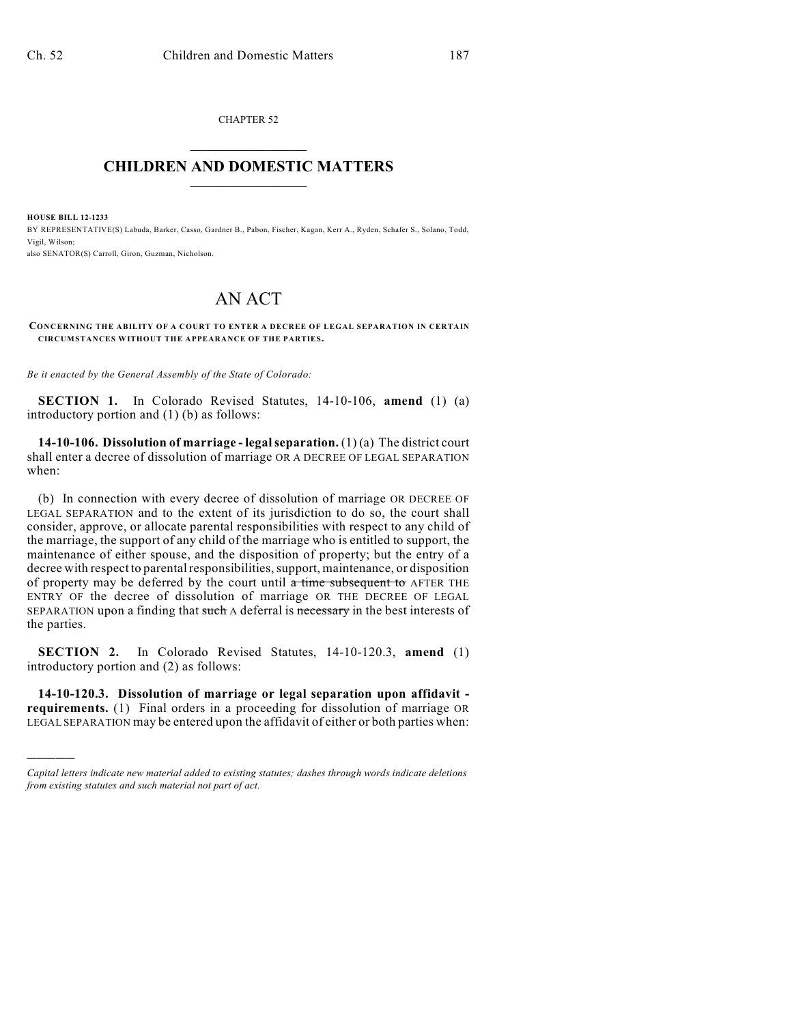CHAPTER 52  $\mathcal{L}_\text{max}$  . The set of the set of the set of the set of the set of the set of the set of the set of the set of the set of the set of the set of the set of the set of the set of the set of the set of the set of the set

## **CHILDREN AND DOMESTIC MATTERS**  $\_$

**HOUSE BILL 12-1233**

)))))

BY REPRESENTATIVE(S) Labuda, Barker, Casso, Gardner B., Pabon, Fischer, Kagan, Kerr A., Ryden, Schafer S., Solano, Todd, Vigil, Wilson; also SENATOR(S) Carroll, Giron, Guzman, Nicholson.

## AN ACT

## **CONCERNING THE ABILITY OF A COURT TO ENTER A DECREE OF LEGAL SEPARATION IN CERTAIN CIRCUMSTANCES WITHOUT THE APPEARANCE OF THE PARTIES.**

*Be it enacted by the General Assembly of the State of Colorado:*

**SECTION 1.** In Colorado Revised Statutes, 14-10-106, **amend** (1) (a) introductory portion and (1) (b) as follows:

**14-10-106. Dissolution of marriage - legalseparation.** (1) (a) The district court shall enter a decree of dissolution of marriage OR A DECREE OF LEGAL SEPARATION when:

(b) In connection with every decree of dissolution of marriage OR DECREE OF LEGAL SEPARATION and to the extent of its jurisdiction to do so, the court shall consider, approve, or allocate parental responsibilities with respect to any child of the marriage, the support of any child of the marriage who is entitled to support, the maintenance of either spouse, and the disposition of property; but the entry of a decree with respect to parental responsibilities, support, maintenance, or disposition of property may be deferred by the court until  $\alpha$  time subsequent to AFTER THE ENTRY OF the decree of dissolution of marriage OR THE DECREE OF LEGAL SEPARATION upon a finding that such A deferral is necessary in the best interests of the parties.

**SECTION 2.** In Colorado Revised Statutes, 14-10-120.3, **amend** (1) introductory portion and (2) as follows:

**14-10-120.3. Dissolution of marriage or legal separation upon affidavit requirements.** (1) Final orders in a proceeding for dissolution of marriage OR LEGAL SEPARATION may be entered upon the affidavit of either or both parties when:

*Capital letters indicate new material added to existing statutes; dashes through words indicate deletions from existing statutes and such material not part of act.*